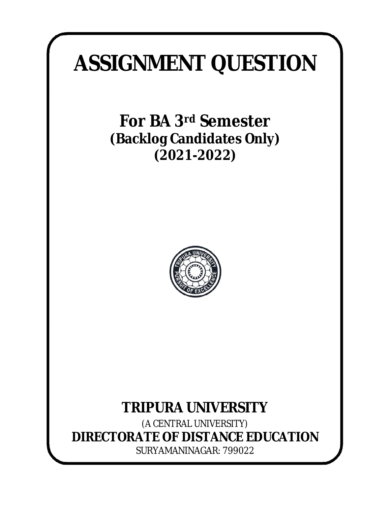# **ASSIGNMENT QUESTION**

**For BA 3rd Semester (Backlog Candidates Only) (2021-2022)**



# **TRIPURA UNIVERSITY**

*(A CENTRAL UNIVERSITY)* **DIRECTORATE OF DISTANCE EDUCATION** SURYAMANINAGAR: 799022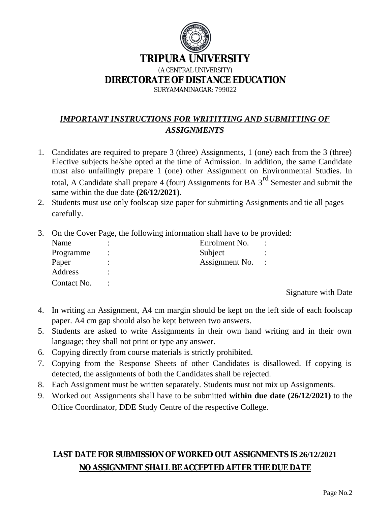

# **TRIPURA UNIVERSITY**

*(A CENTRAL UNIVERSITY)*

**DIRECTORATE OF DISTANCE EDUCATION**

SURYAMANINAGAR: 799022

# *IMPORTANT INSTRUCTIONS FOR WRITITTING AND SUBMITTING OF ASSIGNMENTS*

- 1. Candidates are required to prepare 3 (three) Assignments, 1 (one) each from the 3 (three) Elective subjects he/she opted at the time of Admission. In addition, the same Candidate must also unfailingly prepare 1 (one) other Assignment on Environmental Studies. In total, A Candidate shall prepare 4 (four) Assignments for BA  $3<sup>rd</sup>$  Semester and submit the same within the due date **(26/12/2021)**.
- 2. Students must use only foolscap size paper for submitting Assignments and tie all pages carefully.
- 3. On the Cover Page, the following information shall have to be provided:

| Name        | Enrolment No.  |  |
|-------------|----------------|--|
| Programme   | Subject        |  |
| Paper       | Assignment No. |  |
| Address     |                |  |
| Contact No. |                |  |

Signature with Date

- 4. In writing an Assignment, A4 cm margin should be kept on the left side of each foolscap paper. A4 cm gap should also be kept between two answers.
- 5. Students are asked to write Assignments in their own hand writing and in their own language; they shall not print or type any answer.
- 6. Copying directly from course materials is strictly prohibited.
- 7. Copying from the Response Sheets of other Candidates is disallowed. If copying is detected, the assignments of both the Candidates shall be rejected.
- 8. Each Assignment must be written separately. Students must not mix up Assignments.
- 9. Worked out Assignments shall have to be submitted **within due date (26/12/2021)** to the Office Coordinator, DDE Study Centre of the respective College.

# **LAST DATE FOR SUBMISSION OF WORKED OUT ASSIGNMENTS IS 26/12/2021 NO ASSIGNMENT SHALL BE ACCEPTED AFTER THE DUE DATE**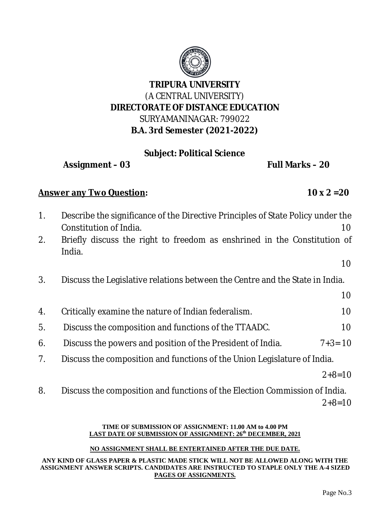

# **Subject: Political Science**

**Assignment – 03 Full Marks – 20**

# **Answer any Two Question: 10 x 2 =20**

1. Describe the significance of the Directive Principles of State Policy under the Constitution of India. 10 2. Briefly discuss the right to freedom as enshrined in the Constitution of India. 10 3. Discuss the Legislative relations between the Centre and the State in India. 10 4. Critically examine the nature of Indian federalism. 10 5. Discuss the composition and functions of the TTAADC. 2012 10 6*.* Discuss the powers and position of the President of India. 7+3= 10 7. Discuss the composition and functions of the Union Legislature of India.

 $2+8=10$ 

8.Discuss the composition and functions of the Election Commission of India.

 $2+8=10$ 

#### **TIME OF SUBMISSION OF ASSIGNMENT: 11.00 AM to 4.00 PM LAST DATE OF SUBMISSION OF ASSIGNMENT: 26th DECEMBER, 2021**

### **NO ASSIGNMENT SHALL BE ENTERTAINED AFTER THE DUE DATE.**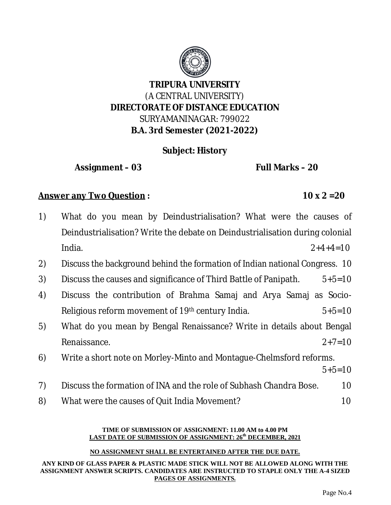

# **Subject: History**

**Assignment – 03 Full Marks – 20**

# **Answer any Two Question : 10 x 2 =20**

| 1) | What do you mean by Deindustrialisation? What were the causes of             |          |  |
|----|------------------------------------------------------------------------------|----------|--|
|    | Deindustrialisation? Write the debate on Deindustrialisation during colonial |          |  |
|    | India.<br>$2+4+4=10$                                                         |          |  |
| 2) | Discuss the background behind the formation of Indian national Congress. 10  |          |  |
| 3) | Discuss the causes and significance of Third Battle of Panipath.             | $5+5=10$ |  |
| 4) | Discuss the contribution of Brahma Samaj and Arya Samaj as Socio-            |          |  |
|    | Religious reform movement of 19 <sup>th</sup> century India.                 | $5+5=10$ |  |
| 5) | What do you mean by Bengal Renaissance? Write in details about Bengal        |          |  |
|    | Renaissance.                                                                 | $2+7=10$ |  |
| 6) | Write a short note on Morley-Minto and Montague-Chelmsford reforms.          |          |  |
|    |                                                                              | $5+5=10$ |  |
| 7) | Discuss the formation of INA and the role of Subhash Chandra Bose.           | 10       |  |
| 8) | What were the causes of Quit India Movement?                                 | 10       |  |
|    |                                                                              |          |  |

#### **TIME OF SUBMISSION OF ASSIGNMENT: 11.00 AM to 4.00 PM LAST DATE OF SUBMISSION OF ASSIGNMENT: 26th DECEMBER, 2021**

### **NO ASSIGNMENT SHALL BE ENTERTAINED AFTER THE DUE DATE.**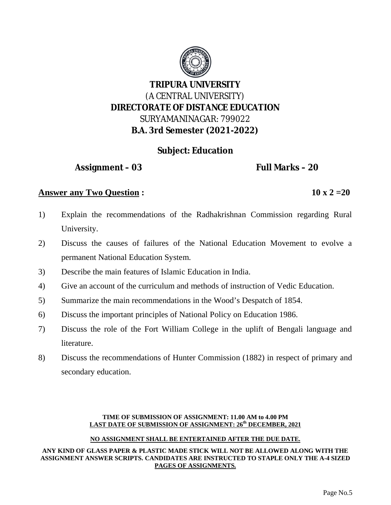

# **Subject: Education**

**Assignment – 03 Full Marks – 20**

# **Answer any Two Question :** 10 x 2 = 20

- 1) Explain the recommendations of the Radhakrishnan Commission regarding Rural University.
- 2) Discuss the causes of failures of the National Education Movement to evolve a permanent National Education System.
- 3) Describe the main features of Islamic Education in India.
- 4) Give an account of the curriculum and methods of instruction of Vedic Education.
- 5) Summarize the main recommendations in the Wood's Despatch of 1854.
- 6) Discuss the important principles of National Policy on Education 1986.
- 7) Discuss the role of the Fort William College in the uplift of Bengali language and literature.
- 8) Discuss the recommendations of Hunter Commission (1882) in respect of primary and secondary education.

#### **TIME OF SUBMISSION OF ASSIGNMENT: 11.00 AM to 4.00 PM LAST DATE OF SUBMISSION OF ASSIGNMENT: 26th DECEMBER, 2021**

#### **NO ASSIGNMENT SHALL BE ENTERTAINED AFTER THE DUE DATE.**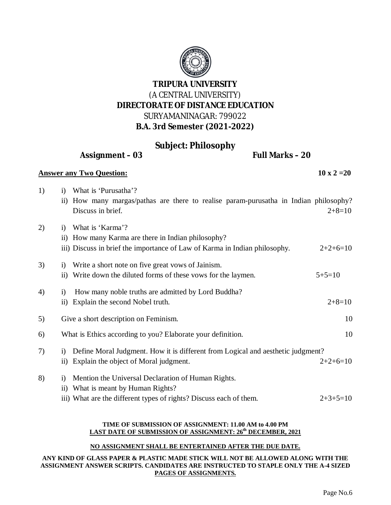

# **Subject: Philosophy**

**Assignment – 03 Full Marks – 20**

#### **Answer any Two Question:** 10 x 2 = 20

1) i) What is 'Purusatha'?

|    |                   | ii) How many margas/pathas are there to realise param-purusatha in Indian philosophy?<br>Discuss in brief. | $2+8=10$   |
|----|-------------------|------------------------------------------------------------------------------------------------------------|------------|
|    |                   |                                                                                                            |            |
| 2) | 1)                | What is 'Karma'?                                                                                           |            |
|    |                   | ii) How many Karma are there in Indian philosophy?                                                         |            |
|    |                   | iii) Discuss in brief the importance of Law of Karma in Indian philosophy.                                 | $2+2+6=10$ |
| 3) | $\bf{1)}$         | Write a short note on five great vows of Jainism.                                                          |            |
|    | 11)               | Write down the diluted forms of these vows for the laymen.                                                 | $5+5=10$   |
| 4) | $\bf{1)}$         | How many noble truths are admitted by Lord Buddha?                                                         |            |
|    |                   | ii) Explain the second Nobel truth.                                                                        | $2+8=10$   |
| 5) |                   | Give a short description on Feminism.                                                                      | 10         |
| 6) |                   | What is Ethics according to you? Elaborate your definition.                                                | 10         |
| 7) | $\left( i\right)$ | Define Moral Judgment. How it is different from Logical and aesthetic judgment?                            |            |

- ii) Explain the object of Moral judgment.  $2+2+6=10$
- 8) i) Mention the Universal Declaration of Human Rights. ii) What is meant by Human Rights?
	- iii) What are the different types of rights? Discuss each of them.  $2+3+5=10$

#### **TIME OF SUBMISSION OF ASSIGNMENT: 11.00 AM to 4.00 PM LAST DATE OF SUBMISSION OF ASSIGNMENT: 26th DECEMBER, 2021**

#### **NO ASSIGNMENT SHALL BE ENTERTAINED AFTER THE DUE DATE.**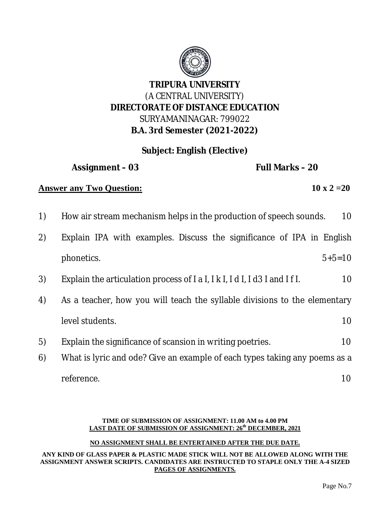

# **Subject: English (Elective)**

**Assignment – 03 Full Marks – 20**

# **Answer any Two Question:** 10 x 2 = 20

- 1) How air stream mechanism helps in the production of speech sounds. 10
- 2) Explain IPA with examples. Discuss the significance of IPA in English phonetics. 5+5=10
- 3) Explain the articulation process of  $|a|, |k|, |d|, |d3|$  and  $|f|$ . 10
- 4) As a teacher, how you will teach the syllable divisions to the elementary level students. 10
- 5) Explain the significance of scansion in writing poetries. 10
- 6) What is lyric and ode? Give an example of each types taking any poems as a reference. 10

#### **TIME OF SUBMISSION OF ASSIGNMENT: 11.00 AM to 4.00 PM LAST DATE OF SUBMISSION OF ASSIGNMENT: 26th DECEMBER, 2021**

#### **NO ASSIGNMENT SHALL BE ENTERTAINED AFTER THE DUE DATE.**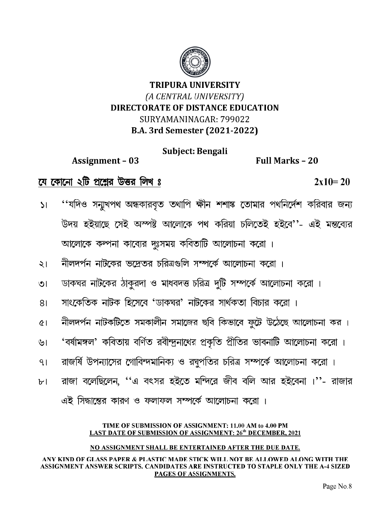

Subject: Bengali

**Assignment - 03** 

Full Marks - 20

যে কোনো ২টি প্রশ্নের উত্তর লিখ ঃ

 $2x10=20$ 

- ''যদিও সন্মুখপথ অন্ধকারবৃত তথাপি ক্ষীন শশাঙ্ক তোমার পথনির্দেশ করিবার জন্য  $\mathsf{S}$ উদয় হইয়াছে সেই অস্পষ্ট আলোকে পথ করিয়া চলিতেই হইবে''- এই মন্তব্যের আলোকে কন্পনা কাব্যের দুঃসময় কবিতাটি আলোচনা করো ।
- নীলদর্পন নাটকের ভদ্রেতর চরিত্রগুলি সম্পর্কে আলোচনা করো ।  $\frac{1}{2}$
- ডাকঘর নাটকের ঠাকুরদা ও মাধবদত্ত চরিত্র দুটি সম্পর্কে আলোচনা করো ।  $\overline{O}$
- সাংকেতিক নাটক হিসেবে 'ডাকঘর' নাটকের সার্থকতা বিচার করো ।  $81$
- নীলদর্পন নাটকটিতে সমকালীন সমাজের ছবি কিভাবে ফুটে উঠেছে আলোচনা কর।  $\alpha$
- 'বর্ষামঙ্গল' কবিতায় বর্ণিত রবীন্দ্রনাথের প্রকৃতি প্রীতির ভাবনাটি আলোচনা করো। ৬।
- রাজর্ষি উপন্যাসের গোবিন্দমানিক্য ও রঘুপতির চরিত্র সম্পর্কে আলোচনা করো।  $9<sub>1</sub>$
- রাজা বলেছিলেন, ''এ বৎসর হইতে মন্দিরে জীব বলি আর হইবেনা ।''- রাজার  $b<sub>1</sub>$

এই সিদ্ধান্তের কারণ ও ফলাফল সম্পর্কে আলোচনা করো ।

#### TIME OF SUBMISSION OF ASSIGNMENT: 11.00 AM to 4.00 PM **LAST DATE OF SUBMISSION OF ASSIGNMENT: 26<sup>th</sup> DECEMBER. 2021**

#### NO ASSIGNMENT SHALL BE ENTERTAINED AFTER THE DUE DATE.